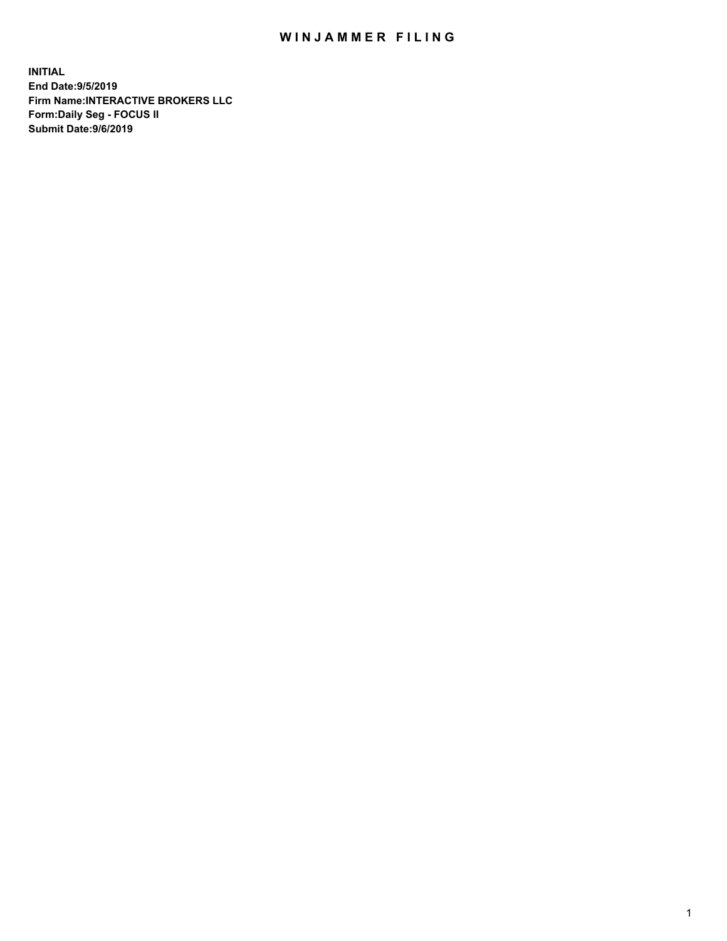## WIN JAMMER FILING

**INITIAL End Date:9/5/2019 Firm Name:INTERACTIVE BROKERS LLC Form:Daily Seg - FOCUS II Submit Date:9/6/2019**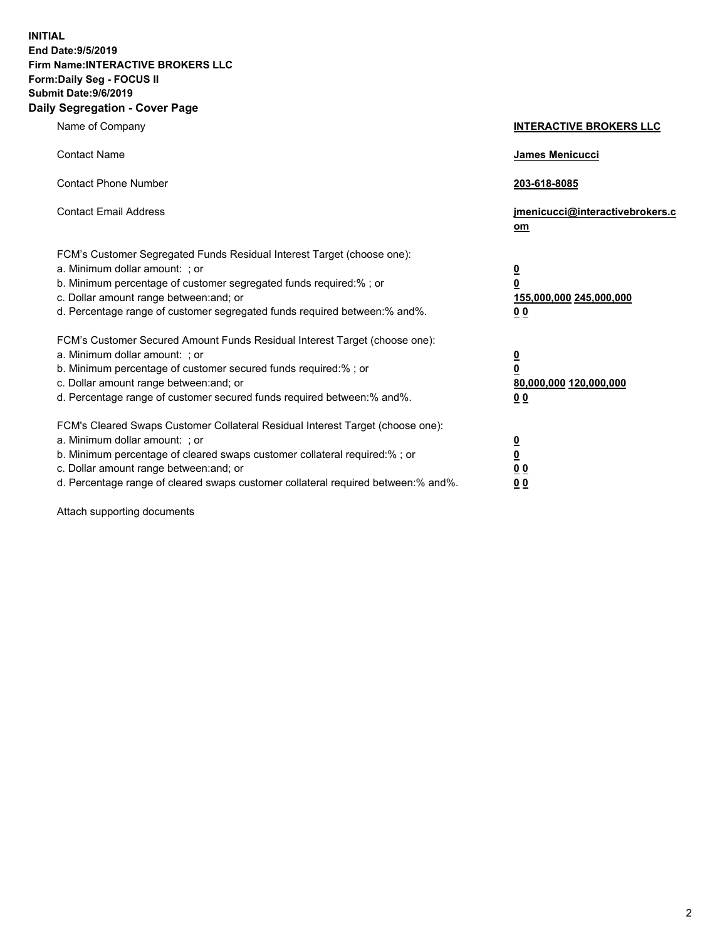**INITIAL End Date:9/5/2019 Firm Name:INTERACTIVE BROKERS LLC Form:Daily Seg - FOCUS II Submit Date:9/6/2019 Daily Segregation - Cover Page**

| Name of Company                                                                                                                                                                                                                                                                                                                | <b>INTERACTIVE BROKERS LLC</b>                                                   |
|--------------------------------------------------------------------------------------------------------------------------------------------------------------------------------------------------------------------------------------------------------------------------------------------------------------------------------|----------------------------------------------------------------------------------|
| <b>Contact Name</b>                                                                                                                                                                                                                                                                                                            | James Menicucci                                                                  |
| <b>Contact Phone Number</b>                                                                                                                                                                                                                                                                                                    | 203-618-8085                                                                     |
| <b>Contact Email Address</b>                                                                                                                                                                                                                                                                                                   | jmenicucci@interactivebrokers.c<br>om                                            |
| FCM's Customer Segregated Funds Residual Interest Target (choose one):<br>a. Minimum dollar amount: ; or<br>b. Minimum percentage of customer segregated funds required:% ; or<br>c. Dollar amount range between: and; or<br>d. Percentage range of customer segregated funds required between:% and%.                         | <u>0</u><br>$\overline{\mathbf{0}}$<br>155,000,000 245,000,000<br>0 <sub>0</sub> |
| FCM's Customer Secured Amount Funds Residual Interest Target (choose one):<br>a. Minimum dollar amount: ; or<br>b. Minimum percentage of customer secured funds required:%; or<br>c. Dollar amount range between: and; or<br>d. Percentage range of customer secured funds required between:% and%.                            | $\frac{0}{0}$<br>80,000,000 120,000,000<br>0 <sub>0</sub>                        |
| FCM's Cleared Swaps Customer Collateral Residual Interest Target (choose one):<br>a. Minimum dollar amount: ; or<br>b. Minimum percentage of cleared swaps customer collateral required:% ; or<br>c. Dollar amount range between: and; or<br>d. Percentage range of cleared swaps customer collateral required between:% and%. | $\frac{0}{0}$<br>$\underline{0}$ $\underline{0}$<br>0 <sub>0</sub>               |

Attach supporting documents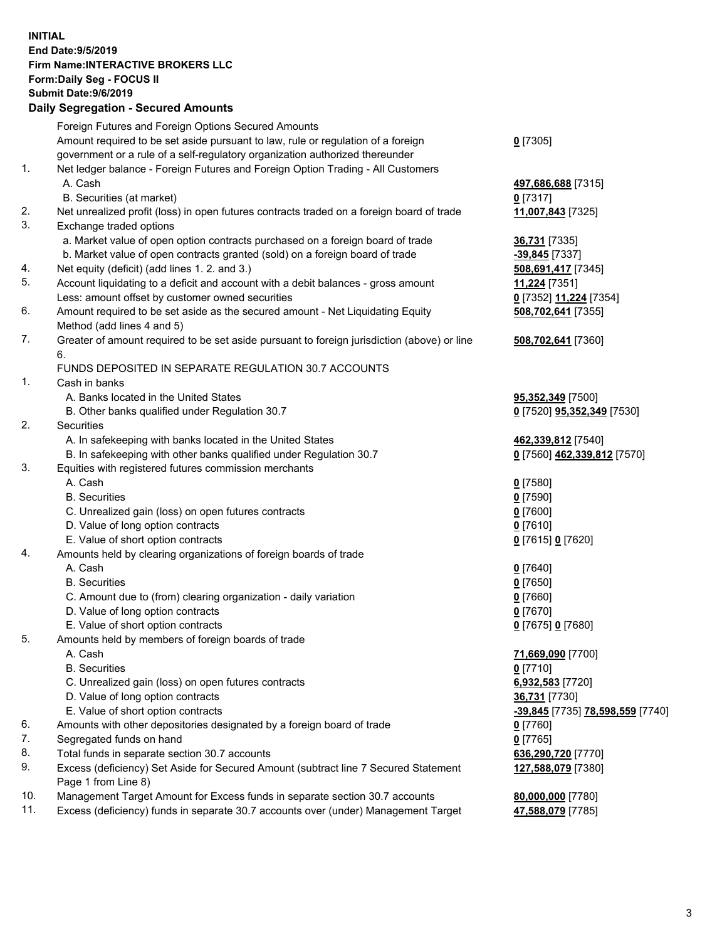## **INITIAL End Date:9/5/2019 Firm Name:INTERACTIVE BROKERS LLC Form:Daily Seg - FOCUS II Submit Date:9/6/2019 Daily Segregation - Secured Amounts**

|     | 2011, Ocgi ogation - Oceaned Anioanita                                                                     |                                                      |
|-----|------------------------------------------------------------------------------------------------------------|------------------------------------------------------|
|     | Foreign Futures and Foreign Options Secured Amounts                                                        |                                                      |
|     | Amount required to be set aside pursuant to law, rule or regulation of a foreign                           | $0$ [7305]                                           |
|     | government or a rule of a self-regulatory organization authorized thereunder                               |                                                      |
| 1.  | Net ledger balance - Foreign Futures and Foreign Option Trading - All Customers                            |                                                      |
|     | A. Cash                                                                                                    | 497,686,688 [7315]                                   |
|     | B. Securities (at market)                                                                                  | $0$ [7317]                                           |
| 2.  | Net unrealized profit (loss) in open futures contracts traded on a foreign board of trade                  | 11,007,843 [7325]                                    |
| 3.  | Exchange traded options                                                                                    |                                                      |
|     | a. Market value of open option contracts purchased on a foreign board of trade                             | 36,731 [7335]                                        |
|     | b. Market value of open contracts granted (sold) on a foreign board of trade                               | -39,845 [7337]                                       |
| 4.  | Net equity (deficit) (add lines 1. 2. and 3.)                                                              | 508,691,417 [7345]                                   |
| 5.  | Account liquidating to a deficit and account with a debit balances - gross amount                          | 11,224 [7351]                                        |
|     | Less: amount offset by customer owned securities                                                           | 0 [7352] 11,224 [7354]                               |
| 6.  | Amount required to be set aside as the secured amount - Net Liquidating Equity                             | 508,702,641 [7355]                                   |
|     | Method (add lines 4 and 5)                                                                                 |                                                      |
| 7.  | Greater of amount required to be set aside pursuant to foreign jurisdiction (above) or line                | 508,702,641 [7360]                                   |
|     | 6.                                                                                                         |                                                      |
|     | FUNDS DEPOSITED IN SEPARATE REGULATION 30.7 ACCOUNTS                                                       |                                                      |
| 1.  | Cash in banks                                                                                              |                                                      |
|     | A. Banks located in the United States                                                                      | 95,352,349 [7500]                                    |
|     | B. Other banks qualified under Regulation 30.7                                                             | 0 [7520] 95,352,349 [7530]                           |
| 2.  | Securities                                                                                                 |                                                      |
|     | A. In safekeeping with banks located in the United States                                                  | 462,339,812 [7540]                                   |
|     | B. In safekeeping with other banks qualified under Regulation 30.7                                         | 0 [7560] 462,339,812 [7570]                          |
| 3.  | Equities with registered futures commission merchants                                                      |                                                      |
|     | A. Cash                                                                                                    | $0$ [7580]                                           |
|     | <b>B.</b> Securities                                                                                       | $0$ [7590]                                           |
|     | C. Unrealized gain (loss) on open futures contracts                                                        | $0$ [7600]                                           |
|     | D. Value of long option contracts                                                                          | $0$ [7610]                                           |
|     | E. Value of short option contracts                                                                         | 0 [7615] 0 [7620]                                    |
| 4.  | Amounts held by clearing organizations of foreign boards of trade                                          |                                                      |
|     | A. Cash                                                                                                    | $0$ [7640]                                           |
|     | <b>B.</b> Securities                                                                                       | $0$ [7650]                                           |
|     | C. Amount due to (from) clearing organization - daily variation                                            | $0$ [7660]                                           |
|     | D. Value of long option contracts                                                                          | $0$ [7670]                                           |
|     | E. Value of short option contracts                                                                         | 0 [7675] 0 [7680]                                    |
| 5.  | Amounts held by members of foreign boards of trade                                                         |                                                      |
|     | A. Cash                                                                                                    | 71,669,090 [7700]                                    |
|     | <b>B.</b> Securities                                                                                       | $0$ [7710]                                           |
|     | C. Unrealized gain (loss) on open futures contracts                                                        | 6,932,583 [7720]                                     |
|     | D. Value of long option contracts                                                                          | 36,731 [7730]                                        |
|     | E. Value of short option contracts                                                                         | <mark>-39,845</mark> [7735] <b>78,598,559</b> [7740] |
| 6.  | Amounts with other depositories designated by a foreign board of trade                                     | 0 [7760]                                             |
| 7.  | Segregated funds on hand                                                                                   | $0$ [7765]                                           |
| 8.  | Total funds in separate section 30.7 accounts                                                              | 636,290,720 [7770]                                   |
| 9.  | Excess (deficiency) Set Aside for Secured Amount (subtract line 7 Secured Statement<br>Page 1 from Line 8) | 127,588,079 [7380]                                   |
| 10. | Management Target Amount for Excess funds in separate section 30.7 accounts                                | 80,000,000 [7780]                                    |
| 11. | Excess (deficiency) funds in separate 30.7 accounts over (under) Management Target                         | 47,588,079 [7785]                                    |
|     |                                                                                                            |                                                      |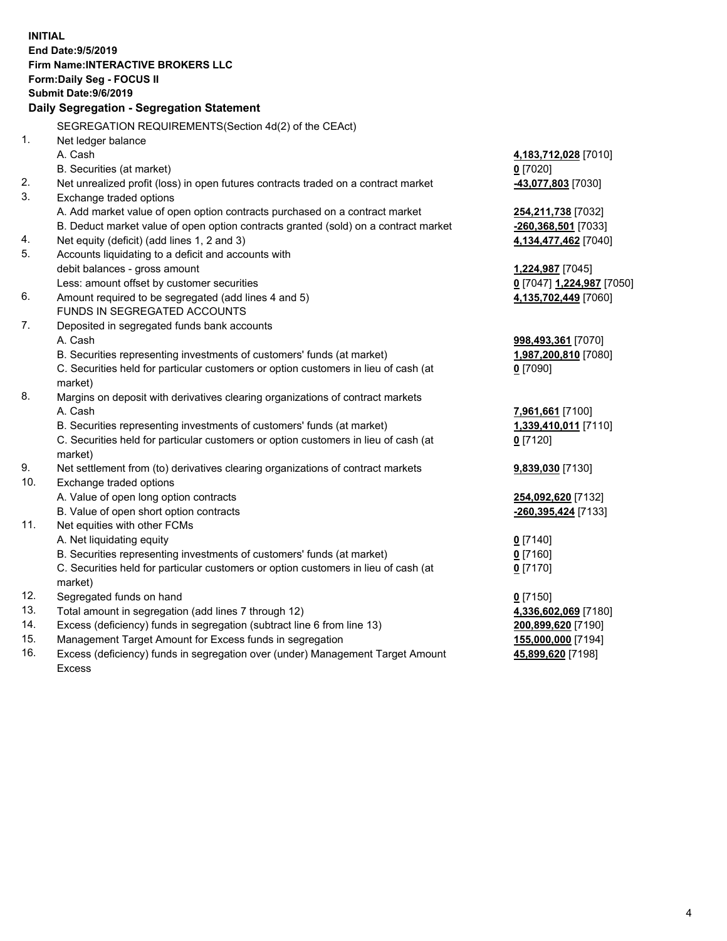|     | <b>INITIAL</b>                                                                                 |                           |
|-----|------------------------------------------------------------------------------------------------|---------------------------|
|     | <b>End Date: 9/5/2019</b>                                                                      |                           |
|     | Firm Name: INTERACTIVE BROKERS LLC                                                             |                           |
|     | Form: Daily Seg - FOCUS II                                                                     |                           |
|     | <b>Submit Date: 9/6/2019</b>                                                                   |                           |
|     | Daily Segregation - Segregation Statement                                                      |                           |
|     | SEGREGATION REQUIREMENTS(Section 4d(2) of the CEAct)                                           |                           |
| 1.  | Net ledger balance                                                                             |                           |
|     | A. Cash                                                                                        | 4,183,712,028 [7010]      |
|     | B. Securities (at market)                                                                      | $0$ [7020]                |
| 2.  | Net unrealized profit (loss) in open futures contracts traded on a contract market             | -43,077,803 [7030]        |
| 3.  | Exchange traded options                                                                        |                           |
|     | A. Add market value of open option contracts purchased on a contract market                    | 254,211,738 [7032]        |
|     | B. Deduct market value of open option contracts granted (sold) on a contract market            | -260,368,501 [7033]       |
| 4.  | Net equity (deficit) (add lines 1, 2 and 3)                                                    | 4,134,477,462 [7040]      |
| 5.  | Accounts liquidating to a deficit and accounts with                                            |                           |
|     | debit balances - gross amount                                                                  | 1,224,987 [7045]          |
|     | Less: amount offset by customer securities                                                     | 0 [7047] 1,224,987 [7050] |
| 6.  | Amount required to be segregated (add lines 4 and 5)                                           | 4,135,702,449 [7060]      |
|     | FUNDS IN SEGREGATED ACCOUNTS                                                                   |                           |
| 7.  | Deposited in segregated funds bank accounts                                                    |                           |
|     | A. Cash                                                                                        | 998,493,361 [7070]        |
|     | B. Securities representing investments of customers' funds (at market)                         | 1,987,200,810 [7080]      |
|     | C. Securities held for particular customers or option customers in lieu of cash (at            | $0$ [7090]                |
|     | market)                                                                                        |                           |
| 8.  | Margins on deposit with derivatives clearing organizations of contract markets                 |                           |
|     | A. Cash                                                                                        | 7,961,661 [7100]          |
|     | B. Securities representing investments of customers' funds (at market)                         | 1,339,410,011 [7110]      |
|     | C. Securities held for particular customers or option customers in lieu of cash (at            | $0$ [7120]                |
|     | market)                                                                                        |                           |
| 9.  | Net settlement from (to) derivatives clearing organizations of contract markets                | 9,839,030 [7130]          |
| 10. | Exchange traded options                                                                        |                           |
|     | A. Value of open long option contracts                                                         | 254,092,620 [7132]        |
|     | B. Value of open short option contracts                                                        | -260,395,424 [7133]       |
| 11. | Net equities with other FCMs                                                                   |                           |
|     | A. Net liquidating equity                                                                      | $0$ [7140]                |
|     | B. Securities representing investments of customers' funds (at market)                         | 0 [7160]                  |
|     | C. Securities held for particular customers or option customers in lieu of cash (at<br>market) | $0$ [7170]                |
| 12. | Segregated funds on hand                                                                       | $0$ [7150]                |
| 13. | Total amount in segregation (add lines 7 through 12)                                           | 4,336,602,069 [7180]      |
| 14. | Excess (deficiency) funds in segregation (subtract line 6 from line 13)                        | 200,899,620 [7190]        |
| 15. | Management Target Amount for Excess funds in segregation                                       | 155,000,000 [7194]        |
| 16. | Excess (deficiency) funds in segregation over (under) Management Target Amount                 | 45,899,620 [7198]         |

Excess